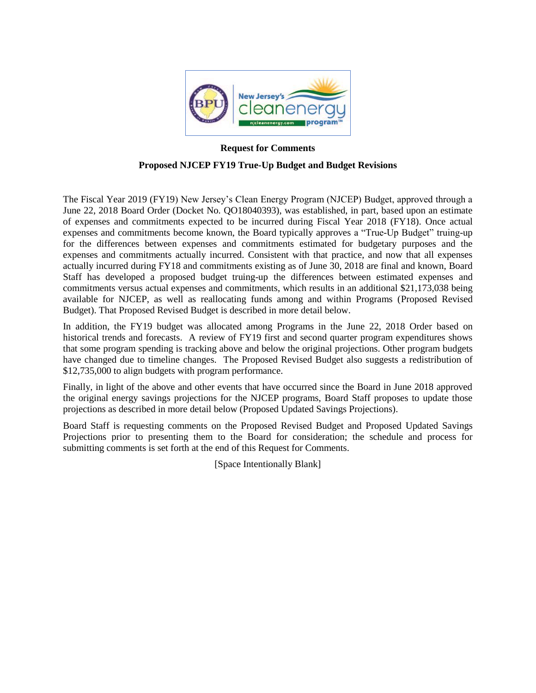

# **Request for Comments Proposed NJCEP FY19 True-Up Budget and Budget Revisions**

The Fiscal Year 2019 (FY19) New Jersey's Clean Energy Program (NJCEP) Budget, approved through a June 22, 2018 Board Order (Docket No. QO18040393), was established, in part, based upon an estimate of expenses and commitments expected to be incurred during Fiscal Year 2018 (FY18). Once actual expenses and commitments become known, the Board typically approves a "True-Up Budget" truing-up for the differences between expenses and commitments estimated for budgetary purposes and the expenses and commitments actually incurred. Consistent with that practice, and now that all expenses actually incurred during FY18 and commitments existing as of June 30, 2018 are final and known, Board Staff has developed a proposed budget truing-up the differences between estimated expenses and commitments versus actual expenses and commitments, which results in an additional \$21,173,038 being available for NJCEP, as well as reallocating funds among and within Programs (Proposed Revised Budget). That Proposed Revised Budget is described in more detail below.

In addition, the FY19 budget was allocated among Programs in the June 22, 2018 Order based on historical trends and forecasts. A review of FY19 first and second quarter program expenditures shows that some program spending is tracking above and below the original projections. Other program budgets have changed due to timeline changes. The Proposed Revised Budget also suggests a redistribution of \$12,735,000 to align budgets with program performance.

Finally, in light of the above and other events that have occurred since the Board in June 2018 approved the original energy savings projections for the NJCEP programs, Board Staff proposes to update those projections as described in more detail below (Proposed Updated Savings Projections).

Board Staff is requesting comments on the Proposed Revised Budget and Proposed Updated Savings Projections prior to presenting them to the Board for consideration; the schedule and process for submitting comments is set forth at the end of this Request for Comments.

[Space Intentionally Blank]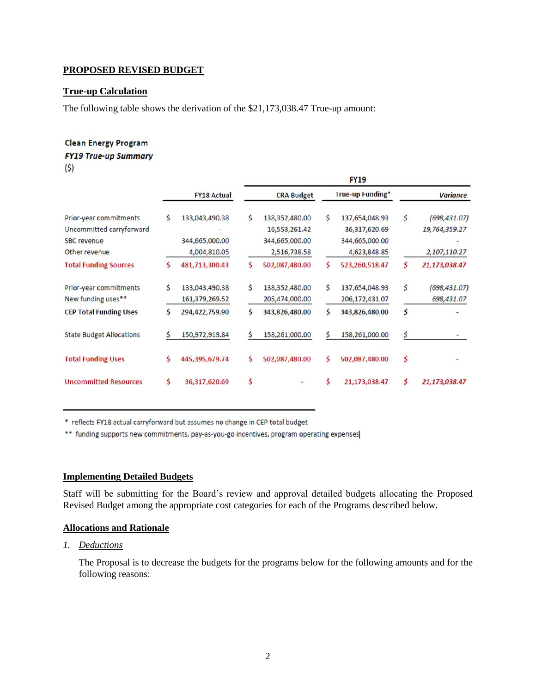## **PROPOSED REVISED BUDGET**

## **True-up Calculation**

The following table shows the derivation of the \$21,173,038.47 True-up amount:

#### **Clean Energy Program**

#### **FY19 True-up Summary**

 $(5)$ 

|                                                                                           |   |                                                  |    |                                                                   |    | <b>FY19</b>                                                       |    |                                                |
|-------------------------------------------------------------------------------------------|---|--------------------------------------------------|----|-------------------------------------------------------------------|----|-------------------------------------------------------------------|----|------------------------------------------------|
|                                                                                           |   | <b>FY18 Actual</b>                               |    | <b>CRA Budget</b>                                                 |    | True-up Funding*                                                  |    | <b>Variance</b>                                |
| Prior-year commitments<br>Uncommitted carryforward<br><b>SBC</b> revenue<br>Other revenue | S | 133,043,490.38<br>344,665,000.00<br>4,004,810.05 | \$ | 138,352,480.00<br>16,553,261.42<br>344,665,000.00<br>2,516,738.58 | Ś  | 137,654,048.93<br>36,317,620.69<br>344,665,000.00<br>4,623,848.85 | S  | (698, 431.07)<br>19,764,359.27<br>2,107,110.27 |
| <b>Total Funding Sources</b>                                                              |   | 481,713,300.43                                   | Ś  | 502,087,480.00                                                    | Ś  | 523,260,518.47                                                    | Ś  | 21,173,038.47                                  |
| Prior-year commitments<br>New funding uses**                                              | Ś | 133,043,490.38<br>161,379,269.52                 | \$ | 138,352,480.00<br>205,474,000.00                                  | Ś  | 137,654,048.93<br>206,172,431.07                                  | \$ | (698, 431.07)<br>698,431.07                    |
| <b>CEP Total Funding Uses</b>                                                             |   | 294,422,759.90                                   | \$ | 343,826,480.00                                                    | \$ | 343,826,480.00                                                    | \$ |                                                |
| <b>State Budget Allocations</b>                                                           |   | 150,972,919.84                                   | Ś  | 158,261,000.00                                                    | Ś  | 158,261,000.00                                                    | Ś  |                                                |
| <b>Total Funding Uses</b>                                                                 |   | 445,395,679.74                                   | \$ | 502,087,480.00                                                    | \$ | 502,087,480.00                                                    | \$ |                                                |
| <b>Uncommitted Resources</b>                                                              | Ś | 36,317,620.69                                    | \$ |                                                                   | Ś  | 21,173,038.47                                                     | Ś  | 21,173,038.47                                  |

\* reflects FY18 actual carryforward but assumes no change in CEP total budget

\*\* funding supports new commitments, pay-as-you-go incentives, program operating expenses

#### **Implementing Detailed Budgets**

Staff will be submitting for the Board's review and approval detailed budgets allocating the Proposed Revised Budget among the appropriate cost categories for each of the Programs described below.

#### **Allocations and Rationale**

## *1. Deductions*

The Proposal is to decrease the budgets for the programs below for the following amounts and for the following reasons: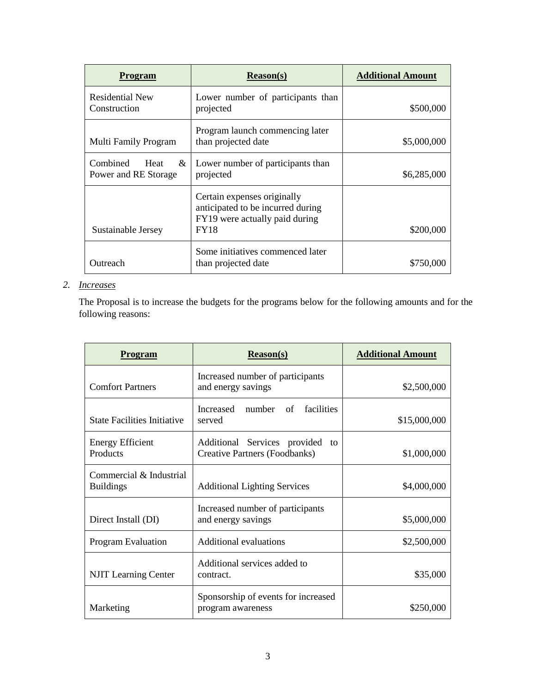| <b>Program</b>                                | <b>Reason(s)</b>                                                                                                  | <b>Additional Amount</b> |
|-----------------------------------------------|-------------------------------------------------------------------------------------------------------------------|--------------------------|
| <b>Residential New</b><br>Construction        | Lower number of participants than<br>projected                                                                    | \$500,000                |
| Multi Family Program                          | Program launch commencing later<br>than projected date                                                            | \$5,000,000              |
| Combined<br>Heat<br>&<br>Power and RE Storage | Lower number of participants than<br>projected                                                                    | \$6,285,000              |
| Sustainable Jersey                            | Certain expenses originally<br>anticipated to be incurred during<br>FY19 were actually paid during<br><b>FY18</b> | \$200,000                |
| Outreach                                      | Some initiatives commenced later<br>than projected date                                                           | \$750,000                |

# *2. Increases*

The Proposal is to increase the budgets for the programs below for the following amounts and for the following reasons:

| Program                                     | <b>Reason(s)</b>                                                        | <b>Additional Amount</b> |
|---------------------------------------------|-------------------------------------------------------------------------|--------------------------|
| <b>Comfort Partners</b>                     | Increased number of participants<br>and energy savings                  | \$2,500,000              |
| <b>State Facilities Initiative</b>          | <b>Increased</b><br>number of<br>facilities<br>served                   | \$15,000,000             |
| <b>Energy Efficient</b><br>Products         | Additional Services provided to<br><b>Creative Partners (Foodbanks)</b> | \$1,000,000              |
| Commercial & Industrial<br><b>Buildings</b> | <b>Additional Lighting Services</b>                                     | \$4,000,000              |
| Direct Install (DI)                         | Increased number of participants<br>and energy savings                  | \$5,000,000              |
| Program Evaluation                          | <b>Additional evaluations</b>                                           | \$2,500,000              |
| <b>NJIT</b> Learning Center                 | Additional services added to<br>contract.                               | \$35,000                 |
| Marketing                                   | Sponsorship of events for increased<br>program awareness                | \$250,000                |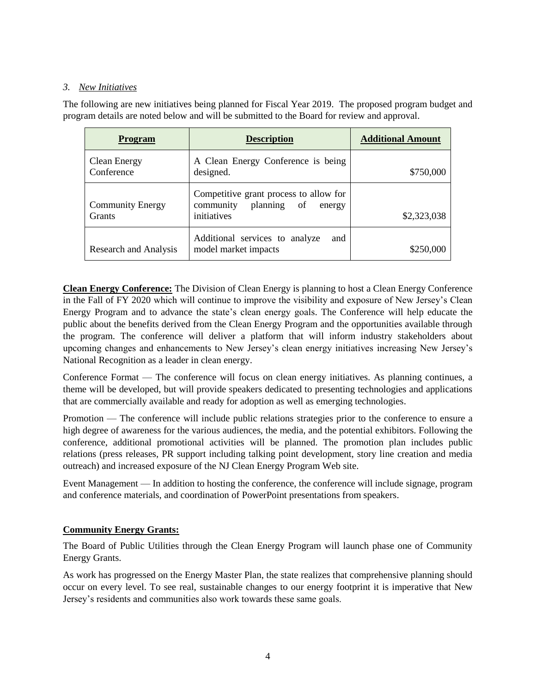## *3. New Initiatives*

The following are new initiatives being planned for Fiscal Year 2019. The proposed program budget and program details are noted below and will be submitted to the Board for review and approval.

| <b>Program</b>                           | <b>Description</b>                                                                          | <b>Additional Amount</b> |
|------------------------------------------|---------------------------------------------------------------------------------------------|--------------------------|
| <b>Clean Energy</b><br>Conference        | A Clean Energy Conference is being<br>designed.                                             | \$750,000                |
| <b>Community Energy</b><br><b>Grants</b> | Competitive grant process to allow for<br>community<br>planning of<br>energy<br>initiatives | \$2,323,038              |
| Research and Analysis                    | Additional services to analyze<br>and<br>model market impacts                               | \$250,000                |

**Clean Energy Conference:** The Division of Clean Energy is planning to host a Clean Energy Conference in the Fall of FY 2020 which will continue to improve the visibility and exposure of New Jersey's Clean Energy Program and to advance the state's clean energy goals. The Conference will help educate the public about the benefits derived from the Clean Energy Program and the opportunities available through the program. The conference will deliver a platform that will inform industry stakeholders about upcoming changes and enhancements to New Jersey's clean energy initiatives increasing New Jersey's National Recognition as a leader in clean energy.

Conference Format — The conference will focus on clean energy initiatives. As planning continues, a theme will be developed, but will provide speakers dedicated to presenting technologies and applications that are commercially available and ready for adoption as well as emerging technologies.

Promotion — The conference will include public relations strategies prior to the conference to ensure a high degree of awareness for the various audiences, the media, and the potential exhibitors. Following the conference, additional promotional activities will be planned. The promotion plan includes public relations (press releases, PR support including talking point development, story line creation and media outreach) and increased exposure of the NJ Clean Energy Program Web site.

Event Management — In addition to hosting the conference, the conference will include signage, program and conference materials, and coordination of PowerPoint presentations from speakers.

# **Community Energy Grants:**

The Board of Public Utilities through the Clean Energy Program will launch phase one of Community Energy Grants.

As work has progressed on the Energy Master Plan, the state realizes that comprehensive planning should occur on every level. To see real, sustainable changes to our energy footprint it is imperative that New Jersey's residents and communities also work towards these same goals.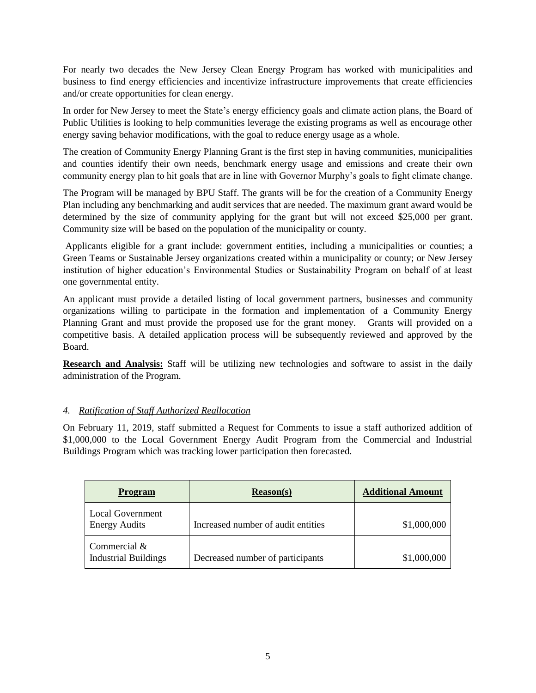For nearly two decades the New Jersey Clean Energy Program has worked with municipalities and business to find energy efficiencies and incentivize infrastructure improvements that create efficiencies and/or create opportunities for clean energy.

In order for New Jersey to meet the State's energy efficiency goals and climate action plans, the Board of Public Utilities is looking to help communities leverage the existing programs as well as encourage other energy saving behavior modifications, with the goal to reduce energy usage as a whole.

The creation of Community Energy Planning Grant is the first step in having communities, municipalities and counties identify their own needs, benchmark energy usage and emissions and create their own community energy plan to hit goals that are in line with Governor Murphy's goals to fight climate change.

The Program will be managed by BPU Staff. The grants will be for the creation of a Community Energy Plan including any benchmarking and audit services that are needed. The maximum grant award would be determined by the size of community applying for the grant but will not exceed \$25,000 per grant. Community size will be based on the population of the municipality or county.

Applicants eligible for a grant include: government entities, including a municipalities or counties; a Green Teams or Sustainable Jersey organizations created within a municipality or county; or New Jersey institution of higher education's Environmental Studies or Sustainability Program on behalf of at least one governmental entity.

An applicant must provide a detailed listing of local government partners, businesses and community organizations willing to participate in the formation and implementation of a Community Energy Planning Grant and must provide the proposed use for the grant money. Grants will provided on a competitive basis. A detailed application process will be subsequently reviewed and approved by the Board.

**Research and Analysis:** Staff will be utilizing new technologies and software to assist in the daily administration of the Program.

## *4. Ratification of Staff Authorized Reallocation*

On February 11, 2019, staff submitted a Request for Comments to issue a staff authorized addition of \$1,000,000 to the Local Government Energy Audit Program from the Commercial and Industrial Buildings Program which was tracking lower participation then forecasted.

| <b>Program</b>                                  | Reason(s)                          | <b>Additional Amount</b> |
|-------------------------------------------------|------------------------------------|--------------------------|
| <b>Local Government</b><br><b>Energy Audits</b> | Increased number of audit entities | \$1,000,000              |
| Commercial $\&$<br><b>Industrial Buildings</b>  | Decreased number of participants   | \$1,000,000              |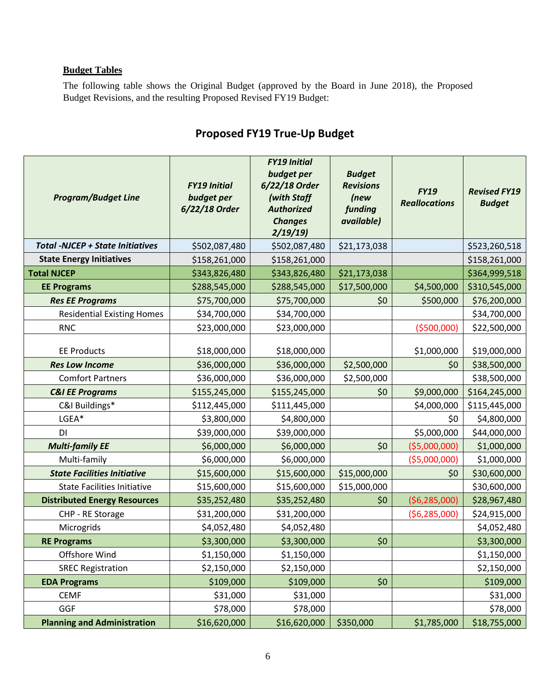# **Budget Tables**

The following table shows the Original Budget (approved by the Board in June 2018), the Proposed Budget Revisions, and the resulting Proposed Revised FY19 Budget:

| <b>Program/Budget Line</b>              | <b>FY19 Initial</b><br>budget per<br>6/22/18 Order | <b>FY19 Initial</b><br>budget per<br>6/22/18 Order<br>(with Staff<br><b>Authorized</b><br><b>Changes</b><br>2/19/19 | <b>Budget</b><br><b>Revisions</b><br>(new<br>funding<br>available) | <b>FY19</b><br><b>Reallocations</b> | <b>Revised FY19</b><br><b>Budget</b> |
|-----------------------------------------|----------------------------------------------------|---------------------------------------------------------------------------------------------------------------------|--------------------------------------------------------------------|-------------------------------------|--------------------------------------|
| <b>Total -NJCEP + State Initiatives</b> | \$502,087,480                                      | \$502,087,480                                                                                                       | \$21,173,038                                                       |                                     | \$523,260,518                        |
| <b>State Energy Initiatives</b>         | \$158,261,000                                      | \$158,261,000                                                                                                       |                                                                    |                                     | \$158,261,000                        |
| <b>Total NJCEP</b>                      | \$343,826,480                                      | \$343,826,480                                                                                                       | \$21,173,038                                                       |                                     | \$364,999,518                        |
| <b>EE Programs</b>                      | \$288,545,000                                      | \$288,545,000                                                                                                       | \$17,500,000                                                       | \$4,500,000                         | \$310,545,000                        |
| <b>Res EE Programs</b>                  | \$75,700,000                                       | \$75,700,000                                                                                                        | \$0                                                                | \$500,000                           | \$76,200,000                         |
| <b>Residential Existing Homes</b>       | \$34,700,000                                       | \$34,700,000                                                                                                        |                                                                    |                                     | \$34,700,000                         |
| <b>RNC</b>                              | \$23,000,000                                       | \$23,000,000                                                                                                        |                                                                    | ( \$500,000]                        | \$22,500,000                         |
| <b>EE Products</b>                      | \$18,000,000                                       | \$18,000,000                                                                                                        |                                                                    | \$1,000,000                         | \$19,000,000                         |
| <b>Res Low Income</b>                   | \$36,000,000                                       | \$36,000,000                                                                                                        | \$2,500,000                                                        | \$0                                 | \$38,500,000                         |
| <b>Comfort Partners</b>                 | \$36,000,000                                       | \$36,000,000                                                                                                        | \$2,500,000                                                        |                                     | \$38,500,000                         |
| <b>C&amp;I EE Programs</b>              | \$155,245,000                                      | \$155,245,000                                                                                                       | \$0                                                                | \$9,000,000                         | \$164,245,000                        |
| C&I Buildings*                          | \$112,445,000                                      | \$111,445,000                                                                                                       |                                                                    | \$4,000,000                         | \$115,445,000                        |
| LGEA*                                   | \$3,800,000                                        | \$4,800,000                                                                                                         |                                                                    | \$0                                 | \$4,800,000                          |
| DI                                      | \$39,000,000                                       | \$39,000,000                                                                                                        |                                                                    | \$5,000,000                         | \$44,000,000                         |
| <b>Multi-family EE</b>                  | \$6,000,000                                        | \$6,000,000                                                                                                         | \$0                                                                | ( \$5,000,000)                      | \$1,000,000                          |
| Multi-family                            | \$6,000,000                                        | \$6,000,000                                                                                                         |                                                                    | ( \$5,000,000)                      | \$1,000,000                          |
| <b>State Facilities Initiative</b>      | \$15,600,000                                       | \$15,600,000                                                                                                        | \$15,000,000                                                       | \$0                                 | \$30,600,000                         |
| <b>State Facilities Initiative</b>      | \$15,600,000                                       | \$15,600,000                                                                                                        | \$15,000,000                                                       |                                     | \$30,600,000                         |
| <b>Distributed Energy Resources</b>     | \$35,252,480                                       | \$35,252,480                                                                                                        | \$0                                                                | (56, 285, 000)                      | \$28,967,480                         |
| CHP - RE Storage                        | \$31,200,000                                       | \$31,200,000                                                                                                        |                                                                    | ( \$6, 285, 000)                    | \$24,915,000                         |
| Microgrids                              | \$4,052,480                                        | \$4,052,480                                                                                                         |                                                                    |                                     | \$4,052,480                          |
| <b>RE Programs</b>                      | \$3,300,000                                        | \$3,300,000                                                                                                         | \$0                                                                |                                     | \$3,300,000                          |
| Offshore Wind                           | \$1,150,000                                        | \$1,150,000                                                                                                         |                                                                    |                                     | \$1,150,000                          |
| <b>SREC Registration</b>                | \$2,150,000                                        | \$2,150,000                                                                                                         |                                                                    |                                     | \$2,150,000                          |
| <b>EDA Programs</b>                     | \$109,000                                          | \$109,000                                                                                                           | \$0                                                                |                                     | \$109,000                            |
| <b>CEMF</b>                             | \$31,000                                           | \$31,000                                                                                                            |                                                                    |                                     | \$31,000                             |
| GGF                                     | \$78,000                                           | \$78,000                                                                                                            |                                                                    |                                     | \$78,000                             |
| <b>Planning and Administration</b>      | \$16,620,000                                       | \$16,620,000                                                                                                        | \$350,000                                                          | \$1,785,000                         | \$18,755,000                         |

# **Proposed FY19 True-Up Budget**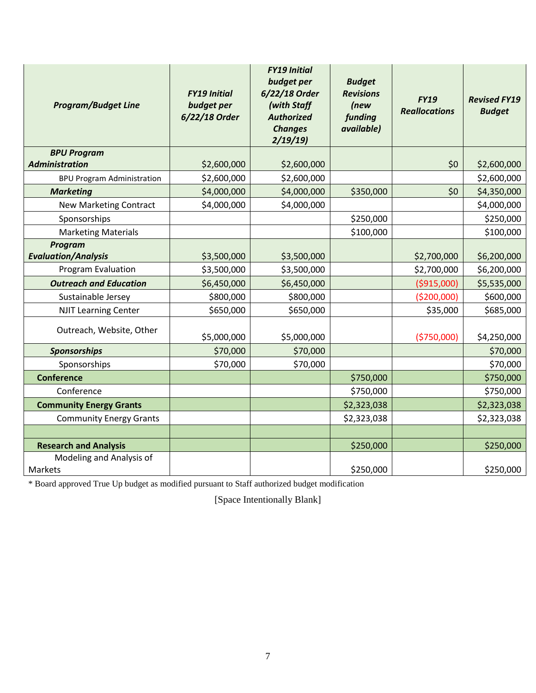| <b>Program/Budget Line</b>            | <b>FY19 Initial</b><br>budget per<br>6/22/18 Order | <b>FY19 Initial</b><br>budget per<br>6/22/18 Order<br>(with Staff<br><b>Authorized</b><br><b>Changes</b><br>2/19/19 | <b>Budget</b><br><b>Revisions</b><br>(new<br>funding<br>available) | <b>FY19</b><br><b>Reallocations</b> | <b>Revised FY19</b><br><b>Budget</b> |
|---------------------------------------|----------------------------------------------------|---------------------------------------------------------------------------------------------------------------------|--------------------------------------------------------------------|-------------------------------------|--------------------------------------|
| <b>BPU Program</b>                    |                                                    |                                                                                                                     |                                                                    |                                     |                                      |
| <b>Administration</b>                 | \$2,600,000                                        | \$2,600,000                                                                                                         |                                                                    | \$0                                 | \$2,600,000                          |
| <b>BPU Program Administration</b>     | \$2,600,000                                        | \$2,600,000                                                                                                         |                                                                    |                                     | \$2,600,000                          |
| <b>Marketing</b>                      | \$4,000,000                                        | \$4,000,000                                                                                                         | \$350,000                                                          | \$0                                 | \$4,350,000                          |
| New Marketing Contract                | \$4,000,000                                        | \$4,000,000                                                                                                         |                                                                    |                                     | \$4,000,000                          |
| Sponsorships                          |                                                    |                                                                                                                     | \$250,000                                                          |                                     | \$250,000                            |
| <b>Marketing Materials</b>            |                                                    |                                                                                                                     | \$100,000                                                          |                                     | \$100,000                            |
| Program<br><b>Evaluation/Analysis</b> | \$3,500,000                                        | \$3,500,000                                                                                                         |                                                                    | \$2,700,000                         | \$6,200,000                          |
| Program Evaluation                    | \$3,500,000                                        | \$3,500,000                                                                                                         |                                                                    | \$2,700,000                         | \$6,200,000                          |
| <b>Outreach and Education</b>         | \$6,450,000                                        | \$6,450,000                                                                                                         |                                                                    | ( \$915,000)                        | \$5,535,000                          |
| Sustainable Jersey                    | \$800,000                                          | \$800,000                                                                                                           |                                                                    | ( \$200,000]                        | \$600,000                            |
| <b>NJIT Learning Center</b>           | \$650,000                                          | \$650,000                                                                                                           |                                                                    | \$35,000                            | \$685,000                            |
| Outreach, Website, Other              | \$5,000,000                                        | \$5,000,000                                                                                                         |                                                                    | (\$750,000)                         | \$4,250,000                          |
| <b>Sponsorships</b>                   | \$70,000                                           | \$70,000                                                                                                            |                                                                    |                                     | \$70,000                             |
| Sponsorships                          | \$70,000                                           | \$70,000                                                                                                            |                                                                    |                                     | \$70,000                             |
| <b>Conference</b>                     |                                                    |                                                                                                                     | \$750,000                                                          |                                     | \$750,000                            |
| Conference                            |                                                    |                                                                                                                     | \$750,000                                                          |                                     | \$750,000                            |
| <b>Community Energy Grants</b>        |                                                    |                                                                                                                     | \$2,323,038                                                        |                                     | \$2,323,038                          |
| <b>Community Energy Grants</b>        |                                                    |                                                                                                                     | \$2,323,038                                                        |                                     | \$2,323,038                          |
|                                       |                                                    |                                                                                                                     |                                                                    |                                     |                                      |
| <b>Research and Analysis</b>          |                                                    |                                                                                                                     | \$250,000                                                          |                                     | \$250,000                            |
| Modeling and Analysis of<br>Markets   |                                                    |                                                                                                                     | \$250,000                                                          |                                     | \$250,000                            |

\* Board approved True Up budget as modified pursuant to Staff authorized budget modification

[Space Intentionally Blank]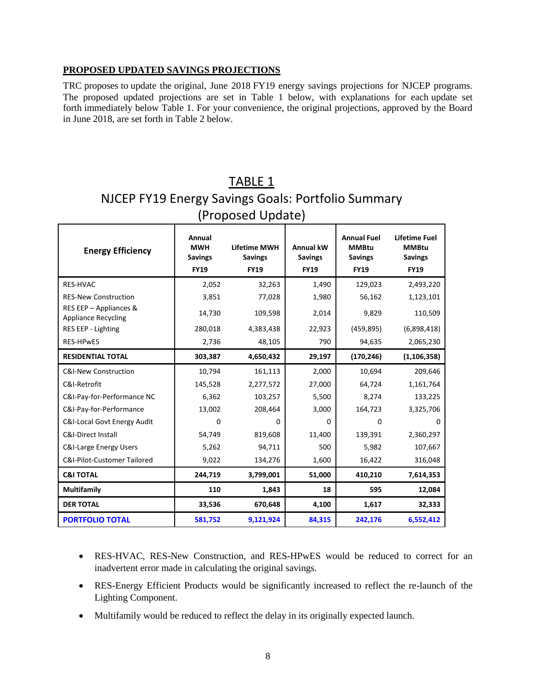### **PROPOSED UPDATED SAVINGS PROJECTIONS**

TRC proposes to update the original, June 2018 FY19 energy savings projections for NJCEP programs. The proposed updated projections are set in Table 1 below, with explanations for each update set forth immediately below Table 1. For your convenience, the original projections, approved by the Board in June 2018, are set forth in Table 2 below.

# TABLE 1 NJCEP FY19 Energy Savings Goals: Portfolio Summary (Proposed Update)

| <b>Energy Efficiency</b>                             | Annual<br><b>MWH</b><br><b>Savings</b><br><b>FY19</b> | <b>Lifetime MWH</b><br><b>Savings</b><br><b>FY19</b> | <b>Annual kW</b><br><b>Savings</b><br><b>FY19</b> | <b>Annual Fuel</b><br><b>MMBtu</b><br><b>Savings</b><br><b>FY19</b> | Lifetime Fuel<br><b>MMBtu</b><br><b>Savings</b><br><b>FY19</b> |
|------------------------------------------------------|-------------------------------------------------------|------------------------------------------------------|---------------------------------------------------|---------------------------------------------------------------------|----------------------------------------------------------------|
| <b>RES-HVAC</b>                                      | 2,052                                                 | 32,263                                               | 1,490                                             | 129,023                                                             | 2,493,220                                                      |
| <b>RES-New Construction</b>                          | 3,851                                                 | 77,028                                               | 1,980                                             | 56,162                                                              | 1,123,101                                                      |
| RES EEP - Appliances &<br><b>Appliance Recycling</b> | 14,730                                                | 109,598                                              | 2,014                                             | 9,829                                                               | 110,509                                                        |
| RES EEP - Lighting                                   | 280,018                                               | 4,383,438                                            | 22,923                                            | (459, 895)                                                          | (6,898,418)                                                    |
| <b>RES-HPWES</b>                                     | 2,736                                                 | 48,105                                               | 790                                               | 94,635                                                              | 2,065,230                                                      |
| <b>RESIDENTIAL TOTAL</b>                             | 303,387                                               | 4,650,432                                            | 29,197                                            | (170, 246)                                                          | (1, 106, 358)                                                  |
| <b>C&amp;I-New Construction</b>                      | 10,794                                                | 161,113                                              | 2,000                                             | 10,694                                                              | 209,646                                                        |
| C&I-Retrofit                                         | 145,528                                               | 2,277,572                                            | 27,000                                            | 64,724                                                              | 1,161,764                                                      |
| C&I-Pay-for-Performance NC                           | 6,362                                                 | 103,257                                              | 5,500                                             | 8,274                                                               | 133,225                                                        |
| C&I-Pay-for-Performance                              | 13,002                                                | 208,464                                              | 3,000                                             | 164,723                                                             | 3,325,706                                                      |
| <b>C&amp;I-Local Govt Energy Audit</b>               | $\Omega$                                              | 0                                                    | 0                                                 | $\Omega$                                                            | $\Omega$                                                       |
| <b>C&amp;I-Direct Install</b>                        | 54,749                                                | 819,608                                              | 11,400                                            | 139,391                                                             | 2,360,297                                                      |
| <b>C&amp;I-Large Energy Users</b>                    | 5,262                                                 | 94,711                                               | 500                                               | 5.982                                                               | 107,667                                                        |
| <b>C&amp;I-Pilot-Customer Tailored</b>               | 9,022                                                 | 134,276                                              | 1,600                                             | 16,422                                                              | 316,048                                                        |
| <b>C&amp;I TOTAL</b>                                 | 244,719                                               | 3,799,001                                            | 51,000                                            | 410,210                                                             | 7,614,353                                                      |
| <b>Multifamily</b>                                   | 110                                                   | 1,843                                                | 18                                                | 595                                                                 | 12,084                                                         |
| <b>DER TOTAL</b>                                     | 33,536                                                | 670,648                                              | 4,100                                             | 1,617                                                               | 32,333                                                         |
| <b>PORTFOLIO TOTAL</b>                               | 581,752                                               | 9,121,924                                            | 84,315                                            | 242,176                                                             | 6,552,412                                                      |

- RES-HVAC, RES-New Construction, and RES-HPwES would be reduced to correct for an inadvertent error made in calculating the original savings.
- RES-Energy Efficient Products would be significantly increased to reflect the re-launch of the Lighting Component.
- Multifamily would be reduced to reflect the delay in its originally expected launch.